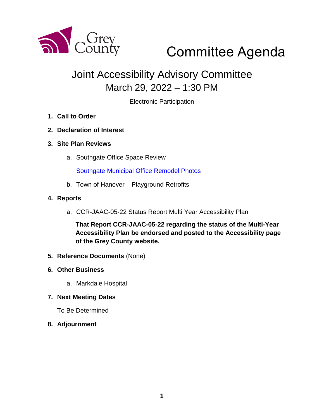

# Committee Agenda

# Joint Accessibility Advisory Committee March 29, 2022 – 1:30 PM

Electronic Participation

- **1. Call to Order**
- **2. Declaration of Interest**
- **3. Site Plan Reviews**
	- a. Southgate Office Space Review

[Southgate Municipal Office Remodel Photos](https://docs.grey.ca/share/public?nodeRef=workspace://SpacesStore/303761bd-07ab-4da7-8af5-0685e2bb659e)

b. Town of Hanover – Playground Retrofits

#### **4. Reports**

a. CCR-JAAC-05-22 Status Report Multi Year Accessibility Plan

**That Report CCR-JAAC-05-22 regarding the status of the Multi-Year Accessibility Plan be endorsed and posted to the Accessibility page of the Grey County website.**

- **5. Reference Documents** (None)
- **6. Other Business**
	- a. Markdale Hospital
- **7. Next Meeting Dates**

To Be Determined

**8. Adjournment**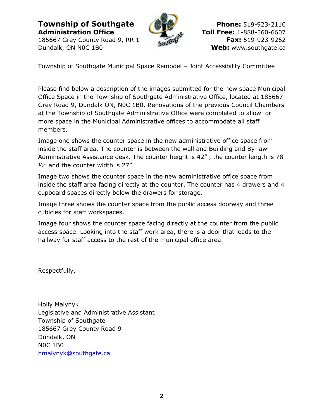**Township of Southgate Phone:** 519-923-2110 **Administration Office Toll Free:** 1-888-560-6607

Dundalk, ON NOC 1B0 **Web:** www.southgate.ca



185667 Grey County Road 9, RR 1 **Fax:** 519-923-9262

Township of Southgate Municipal Space Remodel – Joint Accessibility Committee

Please find below a description of the images submitted for the new space Municipal Office Space in the Township of Southgate Administrative Office, located at 185667 Grey Road 9, Dundalk ON, N0C 1B0. Renovations of the previous Council Chambers at the Township of Southgate Administrative Office were completed to allow for more space in the Municipal Administrative offices to accommodate all staff members.

Image one shows the counter space in the new administrative office space from inside the staff area. The counter is between the wall and Building and By-law Administrative Assistance desk. The counter height is 42" , the counter length is 78 ½" and the counter width is 27".

Image two shows the counter space in the new administrative office space from inside the staff area facing directly at the counter. The counter has 4 drawers and 4 cupboard spaces directly below the drawers for storage.

Image three shows the counter space from the public access doorway and three cubicles for staff workspaces.

Image four shows the counter space facing directly at the counter from the public access space. Looking into the staff work area, there is a door that leads to the hallway for staff access to the rest of the municipal office area.

Respectfully,

Holly Malynyk Legislative and Administrative Assistant Township of Southgate 185667 Grey County Road 9 Dundalk, ON N0C 1B0 [hmalynyk@southgate.ca](mailto:hmalynyk@southgate.ca)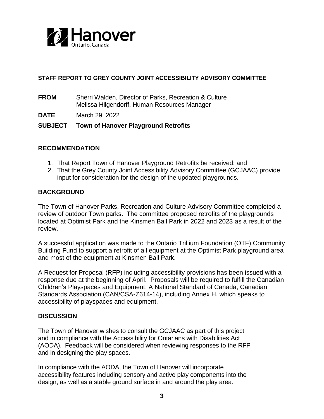

#### **STAFF REPORT TO GREY COUNTY JOINT ACCESSIBILITY ADVISORY COMMITTEE**

**FROM** Sherri Walden, Director of Parks, Recreation & Culture Melissa Hilgendorff, Human Resources Manager

**DATE** March 29, 2022

#### **SUBJECT Town of Hanover Playground Retrofits**

#### **RECOMMENDATION**

- 1. That Report Town of Hanover Playground Retrofits be received; and
- 2. That the Grey County Joint Accessibility Advisory Committee (GCJAAC) provide input for consideration for the design of the updated playgrounds.

#### **BACKGROUND**

The Town of Hanover Parks, Recreation and Culture Advisory Committee completed a review of outdoor Town parks. The committee proposed retrofits of the playgrounds located at Optimist Park and the Kinsmen Ball Park in 2022 and 2023 as a result of the review.

A successful application was made to the Ontario Trillium Foundation (OTF) Community Building Fund to support a retrofit of all equipment at the Optimist Park playground area and most of the equipment at Kinsmen Ball Park.

A Request for Proposal (RFP) including accessibility provisions has been issued with a response due at the beginning of April. Proposals will be required to fulfill the Canadian Children's Playspaces and Equipment; A National Standard of Canada, Canadian Standards Association (CAN/CSA-Z614-14), including Annex H, which speaks to accessibility of playspaces and equipment.

#### **DISCUSSION**

The Town of Hanover wishes to consult the GCJAAC as part of this project and in compliance with the Accessibility for Ontarians with Disabilities Act (AODA). Feedback will be considered when reviewing responses to the RFP and in designing the play spaces.

In compliance with the AODA, the Town of Hanover will incorporate accessibility features including sensory and active play components into the design, as well as a stable ground surface in and around the play area.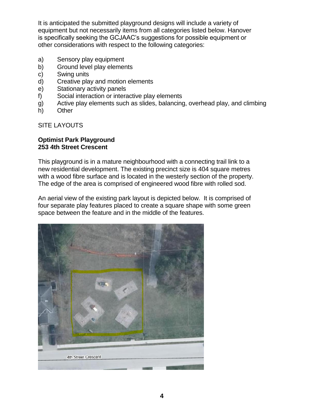It is anticipated the submitted playground designs will include a variety of equipment but not necessarily items from all categories listed below. Hanover is specifically seeking the GCJAAC's suggestions for possible equipment or other considerations with respect to the following categories:

- a) Sensory play equipment
- b) Ground level play elements
- c) Swing units
- d) Creative play and motion elements
- e) Stationary activity panels
- f) Social interaction or interactive play elements
- g) Active play elements such as slides, balancing, overhead play, and climbing
- h) Other

SITE LAYOUTS

#### **Optimist Park Playground 253 4th Street Crescent**

This playground is in a mature neighbourhood with a connecting trail link to a new residential development. The existing precinct size is 404 square metres with a wood fibre surface and is located in the westerly section of the property. The edge of the area is comprised of engineered wood fibre with rolled sod.

An aerial view of the existing park layout is depicted below. It is comprised of four separate play features placed to create a square shape with some green space between the feature and in the middle of the features.

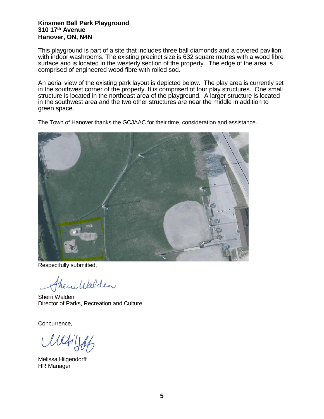#### **Kinsmen Ball Park Playground 310 17th Avenue Hanover, ON, N4N**

This playground is part of a site that includes three ball diamonds and a covered pavilion with indoor washrooms. The existing precinct size is 632 square metres with a wood fibre surface and is located in the westerly section of the property. The edge of the area is comprised of engineered wood fibre with rolled sod.

An aerial view of the existing park layout is depicted below. The play area is currently set in the southwest corner of the property. It is comprised of four play structures. One small structure is located in the northeast area of the playground. A larger structure is located in the southwest area and the two other structures are near the middle in addition to green space.

The Town of Hanover thanks the GCJAAC for their time, consideration and assistance.



Respectfully submitted,

heri Walden

Sherri Walden Director of Parks, Recreation and Culture

Concurrence,

 $lldiij$ 

Melissa Hilgendorff HR Manager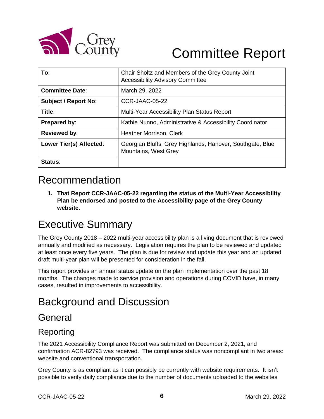

# Committee Report

| To:                         | Chair Sholtz and Members of the Grey County Joint<br><b>Accessibility Advisory Committee</b> |
|-----------------------------|----------------------------------------------------------------------------------------------|
| <b>Committee Date:</b>      | March 29, 2022                                                                               |
| <b>Subject / Report No:</b> | CCR-JAAC-05-22                                                                               |
| Title:                      | Multi-Year Accessibility Plan Status Report                                                  |
| Prepared by:                | Kathie Nunno, Administrative & Accessibility Coordinator                                     |
| <b>Reviewed by:</b>         | Heather Morrison, Clerk                                                                      |
| Lower Tier(s) Affected:     | Georgian Bluffs, Grey Highlands, Hanover, Southgate, Blue<br>Mountains, West Grey            |
| Status:                     |                                                                                              |

# Recommendation

**1. That Report CCR-JAAC-05-22 regarding the status of the Multi-Year Accessibility Plan be endorsed and posted to the Accessibility page of the Grey County website.**

# Executive Summary

The Grey County 2018 – 2022 multi-year accessibility plan is a living document that is reviewed annually and modified as necessary. Legislation requires the plan to be reviewed and updated at least once every five years. The plan is due for review and update this year and an updated draft multi-year plan will be presented for consideration in the fall.

This report provides an annual status update on the plan implementation over the past 18 months. The changes made to service provision and operations during COVID have, in many cases, resulted in improvements to accessibility.

# Background and Discussion

## General

## Reporting

The 2021 Accessibility Compliance Report was submitted on December 2, 2021, and confirmation ACR-82793 was received. The compliance status was noncompliant in two areas: website and conventional transportation.

Grey County is as compliant as it can possibly be currently with website requirements. It isn't possible to verify daily compliance due to the number of documents uploaded to the websites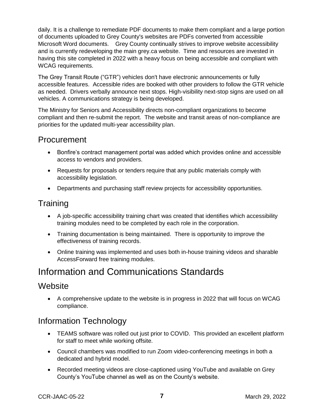daily. It is a challenge to remediate PDF documents to make them compliant and a large portion of documents uploaded to Grey County's websites are PDFs converted from accessible Microsoft Word documents. Grey County continually strives to improve website accessibility and is currently redeveloping the main grey.ca website. Time and resources are invested in having this site completed in 2022 with a heavy focus on being accessible and compliant with WCAG requirements.

The Grey Transit Route ("GTR") vehicles don't have electronic announcements or fully accessible features. Accessible rides are booked with other providers to follow the GTR vehicle as needed. Drivers verbally announce next stops. High-visibility next-stop signs are used on all vehicles. A communications strategy is being developed.

The Ministry for Seniors and Accessibility directs non-compliant organizations to become compliant and then re-submit the report. The website and transit areas of non-compliance are priorities for the updated multi-year accessibility plan.

#### Procurement

- Bonfire's contract management portal was added which provides online and accessible access to vendors and providers.
- Requests for proposals or tenders require that any public materials comply with accessibility legislation.
- Departments and purchasing staff review projects for accessibility opportunities.

## **Training**

- A job-specific accessibility training chart was created that identifies which accessibility training modules need to be completed by each role in the corporation.
- Training documentation is being maintained. There is opportunity to improve the effectiveness of training records.
- Online training was implemented and uses both in-house training videos and sharable AccessForward free training modules.

# Information and Communications Standards

## **Website**

 A comprehensive update to the website is in progress in 2022 that will focus on WCAG compliance.

## Information Technology

- TEAMS software was rolled out just prior to COVID. This provided an excellent platform for staff to meet while working offsite.
- Council chambers was modified to run Zoom video-conferencing meetings in both a dedicated and hybrid model.
- Recorded meeting videos are close-captioned using YouTube and available on Grey County's YouTube channel as well as on the County's website.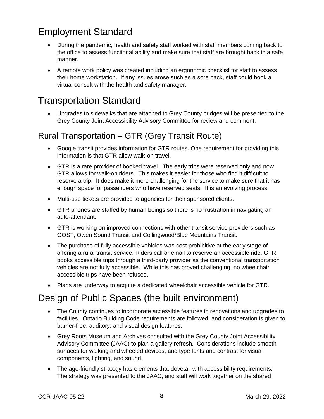# Employment Standard

- During the pandemic, health and safety staff worked with staff members coming back to the office to assess functional ability and make sure that staff are brought back in a safe manner.
- A remote work policy was created including an ergonomic checklist for staff to assess their home workstation. If any issues arose such as a sore back, staff could book a virtual consult with the health and safety manager.

# Transportation Standard

 Upgrades to sidewalks that are attached to Grey County bridges will be presented to the Grey County Joint Accessibility Advisory Committee for review and comment.

## Rural Transportation – GTR (Grey Transit Route)

- Google transit provides information for GTR routes. One requirement for providing this information is that GTR allow walk-on travel.
- GTR is a rare provider of booked travel. The early trips were reserved only and now GTR allows for walk-on riders. This makes it easier for those who find it difficult to reserve a trip. It does make it more challenging for the service to make sure that it has enough space for passengers who have reserved seats. It is an evolving process.
- Multi-use tickets are provided to agencies for their sponsored clients.
- GTR phones are staffed by human beings so there is no frustration in navigating an auto-attendant.
- GTR is working on improved connections with other transit service providers such as GOST, Owen Sound Transit and Collingwood/Blue Mountains Transit.
- The purchase of fully accessible vehicles was cost prohibitive at the early stage of offering a rural transit service. Riders call or email to reserve an accessible ride. GTR books accessible trips through a third-party provider as the conventional transportation vehicles are not fully accessible. While this has proved challenging, no wheelchair accessible trips have been refused.
- Plans are underway to acquire a dedicated wheelchair accessible vehicle for GTR.

# Design of Public Spaces (the built environment)

- The County continues to incorporate accessible features in renovations and upgrades to facilities. Ontario Building Code requirements are followed, and consideration is given to barrier-free, auditory, and visual design features.
- Grey Roots Museum and Archives consulted with the Grey County Joint Accessibility Advisory Committee (JAAC) to plan a gallery refresh. Considerations include smooth surfaces for walking and wheeled devices, and type fonts and contrast for visual components, lighting, and sound.
- The age-friendly strategy has elements that dovetail with accessibility requirements. The strategy was presented to the JAAC, and staff will work together on the shared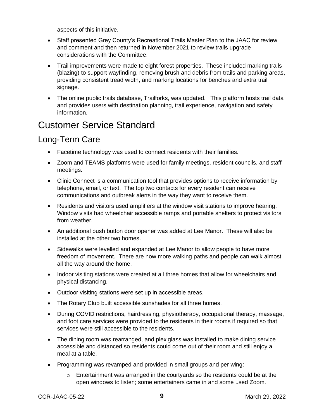aspects of this initiative.

- Staff presented Grey County's Recreational Trails Master Plan to the JAAC for review and comment and then returned in November 2021 to review trails upgrade considerations with the Committee.
- Trail improvements were made to eight forest properties. These included marking trails (blazing) to support wayfinding, removing brush and debris from trails and parking areas, providing consistent tread width, and marking locations for benches and extra trail signage.
- The online public trails database, Trailforks, was updated. This platform hosts trail data and provides users with destination planning, trail experience, navigation and safety information.

# Customer Service Standard

## Long-Term Care

- Facetime technology was used to connect residents with their families.
- Zoom and TEAMS platforms were used for family meetings, resident councils, and staff meetings.
- Clinic Connect is a communication tool that provides options to receive information by telephone, email, or text. The top two contacts for every resident can receive communications and outbreak alerts in the way they want to receive them.
- Residents and visitors used amplifiers at the window visit stations to improve hearing. Window visits had wheelchair accessible ramps and portable shelters to protect visitors from weather.
- An additional push button door opener was added at Lee Manor. These will also be installed at the other two homes.
- Sidewalks were levelled and expanded at Lee Manor to allow people to have more freedom of movement. There are now more walking paths and people can walk almost all the way around the home.
- Indoor visiting stations were created at all three homes that allow for wheelchairs and physical distancing.
- Outdoor visiting stations were set up in accessible areas.
- The Rotary Club built accessible sunshades for all three homes.
- During COVID restrictions, hairdressing, physiotherapy, occupational therapy, massage, and foot care services were provided to the residents in their rooms if required so that services were still accessible to the residents.
- The dining room was rearranged, and plexiglass was installed to make dining service accessible and distanced so residents could come out of their room and still enjoy a meal at a table.
- Programming was revamped and provided in small groups and per wing:
	- o Entertainment was arranged in the courtyards so the residents could be at the open windows to listen; some entertainers came in and some used Zoom.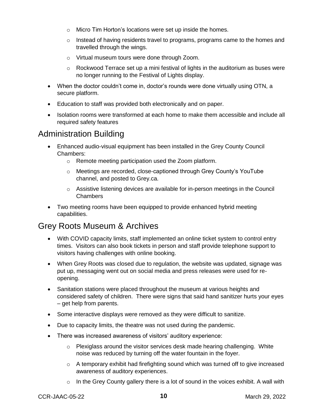- o Micro Tim Horton's locations were set up inside the homes.
- $\circ$  Instead of having residents travel to programs, programs came to the homes and travelled through the wings.
- o Virtual museum tours were done through Zoom.
- $\circ$  Rockwood Terrace set up a mini festival of lights in the auditorium as buses were no longer running to the Festival of Lights display.
- When the doctor couldn't come in, doctor's rounds were done virtually using OTN, a secure platform.
- Education to staff was provided both electronically and on paper.
- Isolation rooms were transformed at each home to make them accessible and include all required safety features

#### Administration Building

- Enhanced audio-visual equipment has been installed in the Grey County Council Chambers:
	- o Remote meeting participation used the Zoom platform.
	- o Meetings are recorded, close-captioned through Grey County's YouTube channel, and posted to Grey.ca.
	- o Assistive listening devices are available for in-person meetings in the Council Chambers
- Two meeting rooms have been equipped to provide enhanced hybrid meeting capabilities.

#### Grey Roots Museum & Archives

- With COVID capacity limits, staff implemented an online ticket system to control entry times. Visitors can also book tickets in person and staff provide telephone support to visitors having challenges with online booking.
- When Grey Roots was closed due to regulation, the website was updated, signage was put up, messaging went out on social media and press releases were used for reopening.
- Sanitation stations were placed throughout the museum at various heights and considered safety of children. There were signs that said hand sanitizer hurts your eyes – get help from parents.
- Some interactive displays were removed as they were difficult to sanitize.
- Due to capacity limits, the theatre was not used during the pandemic.
- There was increased awareness of visitors' auditory experience:
	- o Plexiglass around the visitor services desk made hearing challenging. White noise was reduced by turning off the water fountain in the foyer.
	- o A temporary exhibit had firefighting sound which was turned off to give increased awareness of auditory experiences.
	- $\circ$  In the Grey County gallery there is a lot of sound in the voices exhibit. A wall with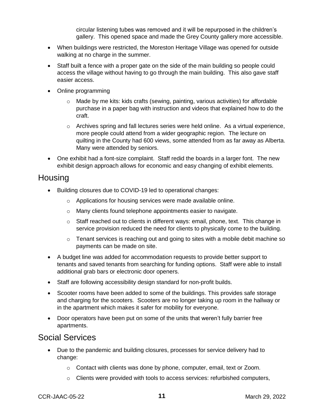circular listening tubes was removed and it will be repurposed in the children's gallery. This opened space and made the Grey County gallery more accessible.

- When buildings were restricted, the Moreston Heritage Village was opened for outside walking at no charge in the summer.
- Staff built a fence with a proper gate on the side of the main building so people could access the village without having to go through the main building. This also gave staff easier access.
- Online programming
	- $\circ$  Made by me kits: kids crafts (sewing, painting, various activities) for affordable purchase in a paper bag with instruction and videos that explained how to do the craft.
	- $\circ$  Archives spring and fall lectures series were held online. As a virtual experience, more people could attend from a wider geographic region. The lecture on quilting in the County had 600 views, some attended from as far away as Alberta. Many were attended by seniors.
- One exhibit had a font-size complaint. Staff redid the boards in a larger font. The new exhibit design approach allows for economic and easy changing of exhibit elements.

#### **Housing**

- Building closures due to COVID-19 led to operational changes:
	- o Applications for housing services were made available online.
	- o Many clients found telephone appointments easier to navigate.
	- $\circ$  Staff reached out to clients in different ways: email, phone, text. This change in service provision reduced the need for clients to physically come to the building.
	- $\circ$  Tenant services is reaching out and going to sites with a mobile debit machine so payments can be made on site.
- A budget line was added for accommodation requests to provide better support to tenants and saved tenants from searching for funding options. Staff were able to install additional grab bars or electronic door openers.
- Staff are following accessibility design standard for non-profit builds.
- Scooter rooms have been added to some of the buildings. This provides safe storage and charging for the scooters. Scooters are no longer taking up room in the hallway or in the apartment which makes it safer for mobility for everyone.
- Door operators have been put on some of the units that weren't fully barrier free apartments.

#### Social Services

- Due to the pandemic and building closures, processes for service delivery had to change:
	- o Contact with clients was done by phone, computer, email, text or Zoom.
	- o Clients were provided with tools to access services: refurbished computers,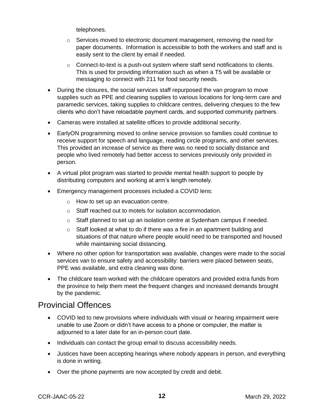telephones.

- $\circ$  Services moved to electronic document management, removing the need for paper documents. Information is accessible to both the workers and staff and is easily sent to the client by email if needed.
- $\circ$  Connect-to-text is a push-out system where staff send notifications to clients. This is used for providing information such as when a T5 will be available or messaging to connect with 211 for food security needs.
- During the closures, the social services staff repurposed the van program to move supplies such as PPE and cleaning supplies to various locations for long-term care and paramedic services, taking supplies to childcare centres, delivering cheques to the few clients who don't have reloadable payment cards, and supported community partners.
- Cameras were installed at satellite offices to provide additional security.
- EarlyON programming moved to online service provision so families could continue to receive support for speech and language, reading circle programs, and other services. This provided an increase of service as there was no need to socially distance and people who lived remotely had better access to services previously only provided in person.
- A virtual pilot program was started to provide mental health support to people by distributing computers and working at arm's length remotely.
- Emergency management processes included a COVID lens:
	- o How to set up an evacuation centre.
	- o Staff reached out to motels for isolation accommodation.
	- $\circ$  Staff planned to set up an isolation centre at Sydenham campus if needed.
	- o Staff looked at what to do if there was a fire in an apartment building and situations of that nature where people would need to be transported and housed while maintaining social distancing.
- Where no other option for transportation was available, changes were made to the social services van to ensure safety and accessibility: barriers were placed between seats, PPE was available, and extra cleaning was done.
- The childcare team worked with the childcare operators and provided extra funds from the province to help them meet the frequent changes and increased demands brought by the pandemic.

#### Provincial Offences

- COVID led to new provisions where individuals with visual or hearing impairment were unable to use Zoom or didn't have access to a phone or computer, the matter is adjourned to a later date for an in-person court date.
- Individuals can contact the group email to discuss accessibility needs.
- Justices have been accepting hearings where nobody appears in person, and everything is done in writing.
- Over the phone payments are now accepted by credit and debit.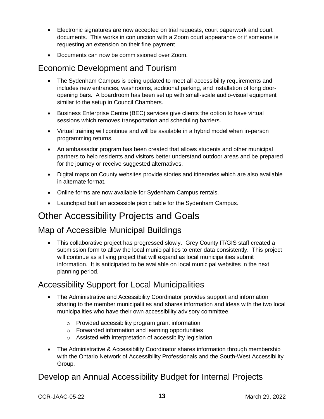- Electronic signatures are now accepted on trial requests, court paperwork and court documents. This works in conjunction with a Zoom court appearance or if someone is requesting an extension on their fine payment
- Documents can now be commissioned over Zoom.

#### Economic Development and Tourism

- The Sydenham Campus is being updated to meet all accessibility requirements and includes new entrances, washrooms, additional parking, and installation of long dooropening bars. A boardroom has been set up with small-scale audio-visual equipment similar to the setup in Council Chambers.
- Business Enterprise Centre (BEC) services give clients the option to have virtual sessions which removes transportation and scheduling barriers.
- Virtual training will continue and will be available in a hybrid model when in-person programming returns.
- An ambassador program has been created that allows students and other municipal partners to help residents and visitors better understand outdoor areas and be prepared for the journey or receive suggested alternatives.
- Digital maps on County websites provide stories and itineraries which are also available in alternate format.
- Online forms are now available for Sydenham Campus rentals.
- Launchpad built an accessible picnic table for the Sydenham Campus.

# Other Accessibility Projects and Goals

## Map of Accessible Municipal Buildings

• This collaborative project has progressed slowly. Grey County IT/GIS staff created a submission form to allow the local municipalities to enter data consistently. This project will continue as a living project that will expand as local municipalities submit information. It is anticipated to be available on local municipal websites in the next planning period.

## Accessibility Support for Local Municipalities

- The Administrative and Accessibility Coordinator provides support and information sharing to the member municipalities and shares information and ideas with the two local municipalities who have their own accessibility advisory committee.
	- o Provided accessibility program grant information
	- o Forwarded information and learning opportunities
	- o Assisted with interpretation of accessibility legislation
- The Administrative & Accessibility Coordinator shares information through membership with the Ontario Network of Accessibility Professionals and the South-West Accessibility Group.

## Develop an Annual Accessibility Budget for Internal Projects